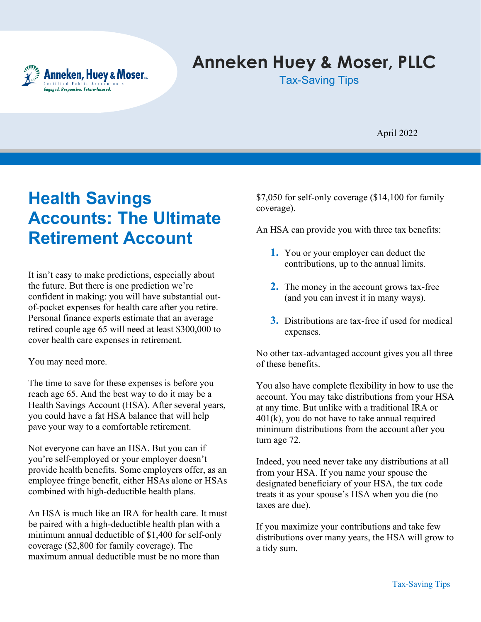

# **Anneken Huey & Moser, PLLC**

Tax-Saving Tips

April 2022

# **Health Savings Accounts: The Ultimate Retirement Account**

It isn't easy to make predictions, especially about the future. But there is one prediction we're confident in making: you will have substantial outof-pocket expenses for health care after you retire. Personal finance experts estimate that an average retired couple age 65 will need at least \$300,000 to cover health care expenses in retirement.

You may need more.

The time to save for these expenses is before you reach age 65. And the best way to do it may be a Health Savings Account (HSA). After several years, you could have a fat HSA balance that will help pave your way to a comfortable retirement.

Not everyone can have an HSA. But you can if you're self-employed or your employer doesn't provide health benefits. Some employers offer, as an employee fringe benefit, either HSAs alone or HSAs combined with high-deductible health plans.

An HSA is much like an IRA for health care. It must be paired with a high-deductible health plan with a minimum annual deductible of \$1,400 for self-only coverage (\$2,800 for family coverage). The maximum annual deductible must be no more than

\$7,050 for self-only coverage (\$14,100 for family coverage).

An HSA can provide you with three tax benefits:

- **1.** You or your employer can deduct the contributions, up to the annual limits.
- **2.** The money in the account grows tax-free (and you can invest it in many ways).
- **3.** Distributions are tax-free if used for medical expenses.

No other tax-advantaged account gives you all three of these benefits.

You also have complete flexibility in how to use the account. You may take distributions from your HSA at any time. But unlike with a traditional IRA or 401(k), you do not have to take annual required minimum distributions from the account after you turn age 72.

Indeed, you need never take any distributions at all from your HSA. If you name your spouse the designated beneficiary of your HSA, the tax code treats it as your spouse's HSA when you die (no taxes are due).

If you maximize your contributions and take few distributions over many years, the HSA will grow to a tidy sum.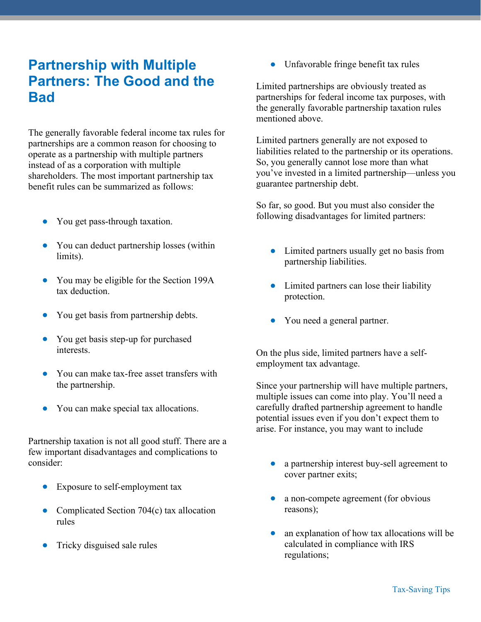# **Partnership with Multiple Partners: The Good and the Bad**

The generally favorable federal income tax rules for partnerships are a common reason for choosing to operate as a partnership with multiple partners instead of as a corporation with multiple shareholders. The most important partnership tax benefit rules can be summarized as follows:

- You get pass-through taxation.
- You can deduct partnership losses (within limits).
- You may be eligible for the Section 199A tax deduction.
- You get basis from partnership debts.
- You get basis step-up for purchased interests.
- You can make tax-free asset transfers with the partnership.
- You can make special tax allocations.

Partnership taxation is not all good stuff. There are a few important disadvantages and complications to consider:

- Exposure to self-employment tax
- Complicated Section 704(c) tax allocation rules
- Tricky disguised sale rules

• Unfavorable fringe benefit tax rules

Limited partnerships are obviously treated as partnerships for federal income tax purposes, with the generally favorable partnership taxation rules mentioned above.

Limited partners generally are not exposed to liabilities related to the partnership or its operations. So, you generally cannot lose more than what you've invested in a limited partnership—unless you guarantee partnership debt.

So far, so good. But you must also consider the following disadvantages for limited partners:

- Limited partners usually get no basis from partnership liabilities.
- Limited partners can lose their liability protection.
- You need a general partner.

On the plus side, limited partners have a selfemployment tax advantage.

Since your partnership will have multiple partners, multiple issues can come into play. You'll need a carefully drafted partnership agreement to handle potential issues even if you don't expect them to arise. For instance, you may want to include

- a partnership interest buy-sell agreement to cover partner exits;
- a non-compete agreement (for obvious reasons);
- an explanation of how tax allocations will be calculated in compliance with IRS regulations;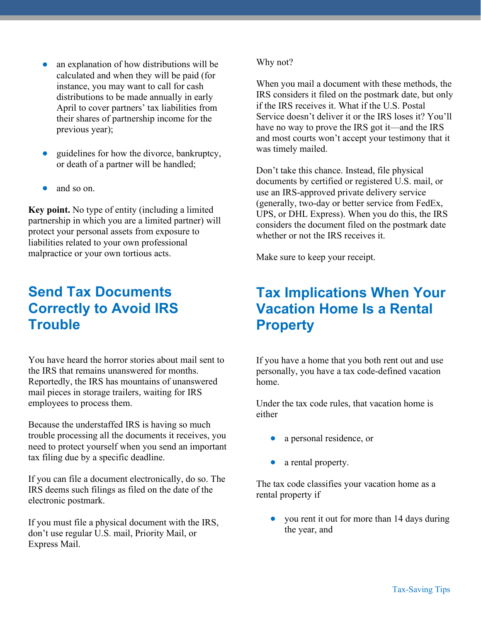- an explanation of how distributions will be calculated and when they will be paid (for instance, you may want to call for cash distributions to be made annually in early April to cover partners' tax liabilities from their shares of partnership income for the previous year);
- guidelines for how the divorce, bankruptcy, or death of a partner will be handled;
- and so on.

**Key point.** No type of entity (including a limited partnership in which you are a limited partner) will protect your personal assets from exposure to liabilities related to your own professional malpractice or your own tortious acts.

## **Send Tax Documents Correctly to Avoid IRS Trouble**

You have heard the horror stories about mail sent to the IRS that remains unanswered for months. Reportedly, the IRS has mountains of unanswered mail pieces in storage trailers, waiting for IRS employees to process them.

Because the understaffed IRS is having so much trouble processing all the documents it receives, you need to protect yourself when you send an important tax filing due by a specific deadline.

If you can file a document electronically, do so. The IRS deems such filings as filed on the date of the electronic postmark.

If you must file a physical document with the IRS, don't use regular U.S. mail, Priority Mail, or Express Mail.

#### Why not?

When you mail a document with these methods, the IRS considers it filed on the postmark date, but only if the IRS receives it. What if the U.S. Postal Service doesn't deliver it or the IRS loses it? You'll have no way to prove the IRS got it—and the IRS and most courts won't accept your testimony that it was timely mailed.

Don't take this chance. Instead, file physical documents by certified or registered U.S. mail, or use an IRS-approved private delivery service (generally, two-day or better service from FedEx, UPS, or DHL Express). When you do this, the IRS considers the document filed on the postmark date whether or not the IRS receives it.

Make sure to keep your receipt.

## **Tax Implications When Your Vacation Home Is a Rental Property**

If you have a home that you both rent out and use personally, you have a tax code-defined vacation home.

Under the tax code rules, that vacation home is either

- a personal residence, or
- a rental property.

The tax code classifies your vacation home as a rental property if

• you rent it out for more than 14 days during the year, and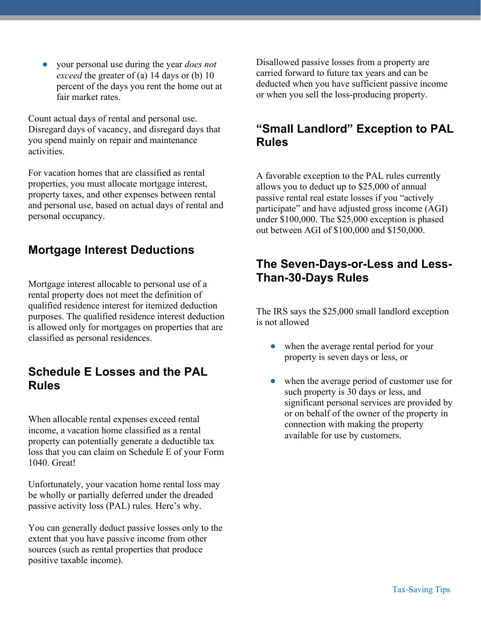• your personal use during the year *does not exceed* the greater of (a) 14 days or (b) 10 percent of the days you rent the home out at fair market rates.

Count actual days of rental and personal use. Disregard days of vacancy, and disregard days that you spend mainly on repair and maintenance activities.

For vacation homes that are classified as rental properties, you must allocate mortgage interest, property taxes, and other expenses between rental and personal use, based on actual days of rental and personal occupancy.

### **Mortgage Interest Deductions**

Mortgage interest allocable to personal use of a rental property does not meet the definition of qualified residence interest for itemized deduction purposes. The qualified residence interest deduction is allowed only for mortgages on properties that are classified as personal residences.

#### **Schedule E Losses and the PAL Rules**

When allocable rental expenses exceed rental income, a vacation home classified as a rental property can potentially generate a deductible tax loss that you can claim on Schedule E of your Form 1040. Great!

Unfortunately, your vacation home rental loss may be wholly or partially deferred under the dreaded passive activity loss (PAL) rules. Here's why.

You can generally deduct passive losses only to the extent that you have passive income from other sources (such as rental properties that produce positive taxable income).

Disallowed passive losses from a property are carried forward to future tax years and can be deducted when you have sufficient passive income or when you sell the loss-producing property.

#### **"Small Landlord" Exception to PAL Rules**

A favorable exception to the PAL rules currently allows you to deduct up to \$25,000 of annual passive rental real estate losses if you "actively participate" and have adjusted gross income (AGI) under \$100,000. The \$25,000 exception is phased out between AGI of \$100,000 and \$150,000.

#### **The Seven-Days-or-Less and Less-Than-30-Days Rules**

The IRS says the \$25,000 small landlord exception is not allowed

- when the average rental period for your property is seven days or less, or
- when the average period of customer use for such property is 30 days or less, and significant personal services are provided by or on behalf of the owner of the property in connection with making the property available for use by customers.